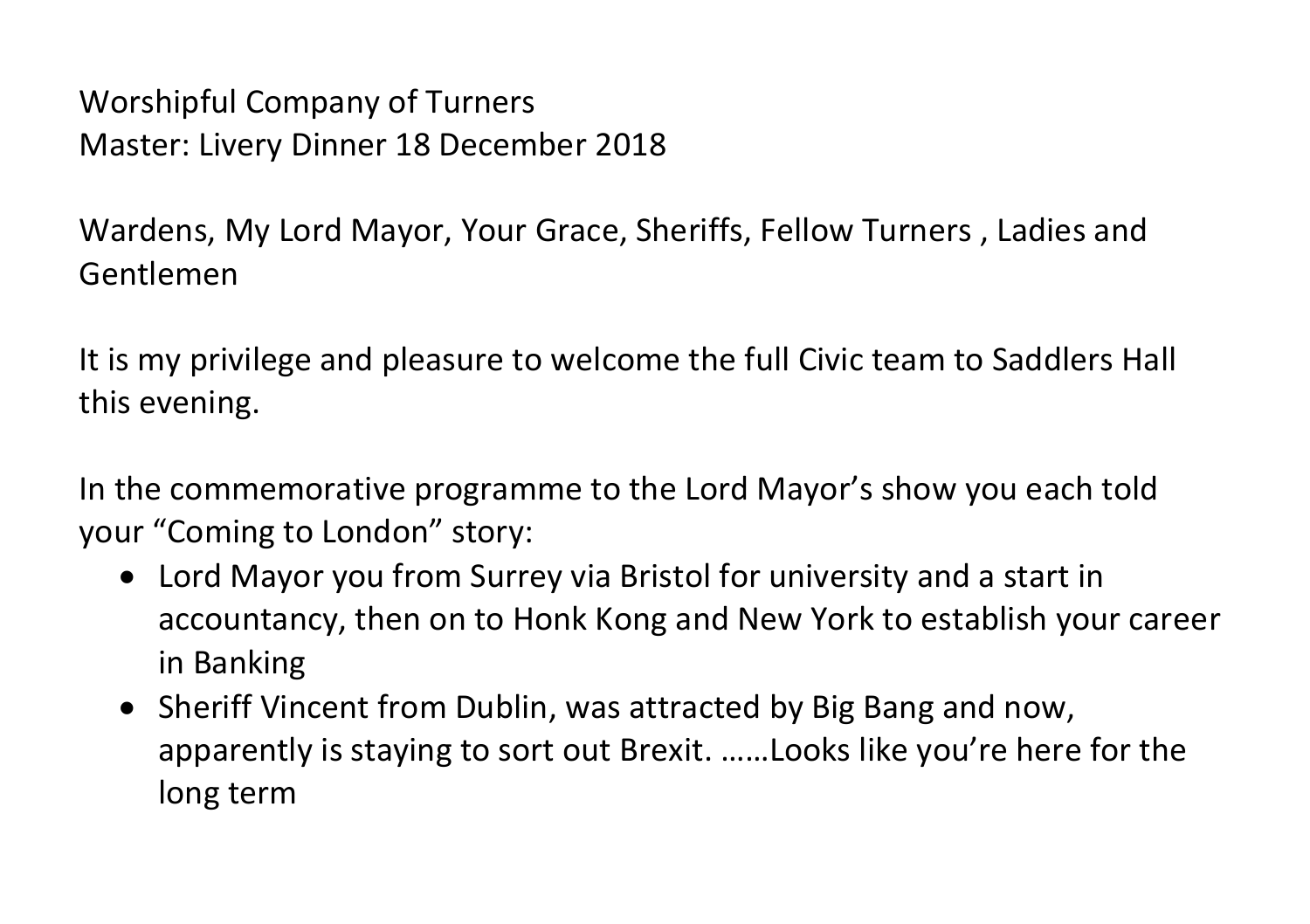Worshipful Company of Turners Master: Livery Dinner 18 December 2018

Wardens, My Lord Mayor, Your Grace, Sheriffs, Fellow Turners , Ladies and Gentlemen

It is my privilege and pleasure to welcome the full Civic team to Saddlers Hall this evening.

In the commemorative programme to the Lord Mayor's show you each told your "Coming to London" story:

- Lord Mayor you from Surrey via Bristol for university and a start in accountancy, then on to Honk Kong and New York to establish your career in Banking
- Sheriff Vincent from Dublin, was attracted by Big Bang and now, apparently is staying to sort out Brexit. ……Looks like you're here for the long term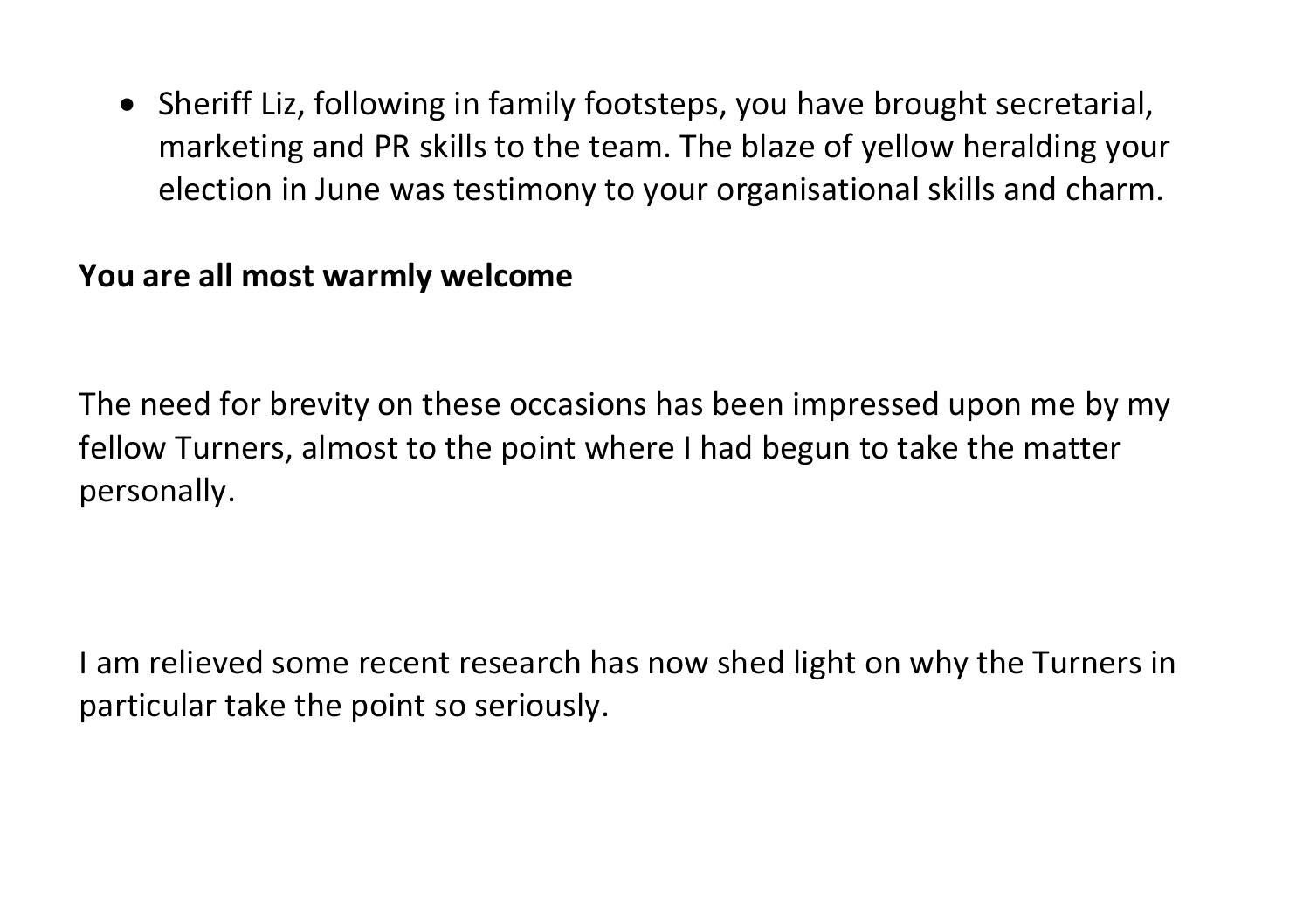• Sheriff Liz, following in family footsteps, you have brought secretarial, marketing and PR skills to the team. The blaze of yellow heralding your election in June was testimony to your organisational skills and charm.

## **You are all most warmly welcome**

The need for brevity on these occasions has been impressed upon me by my fellow Turners, almost to the point where I had begun to take the matter personally.

I am relieved some recent research has now shed light on why the Turners in particular take the point so seriously.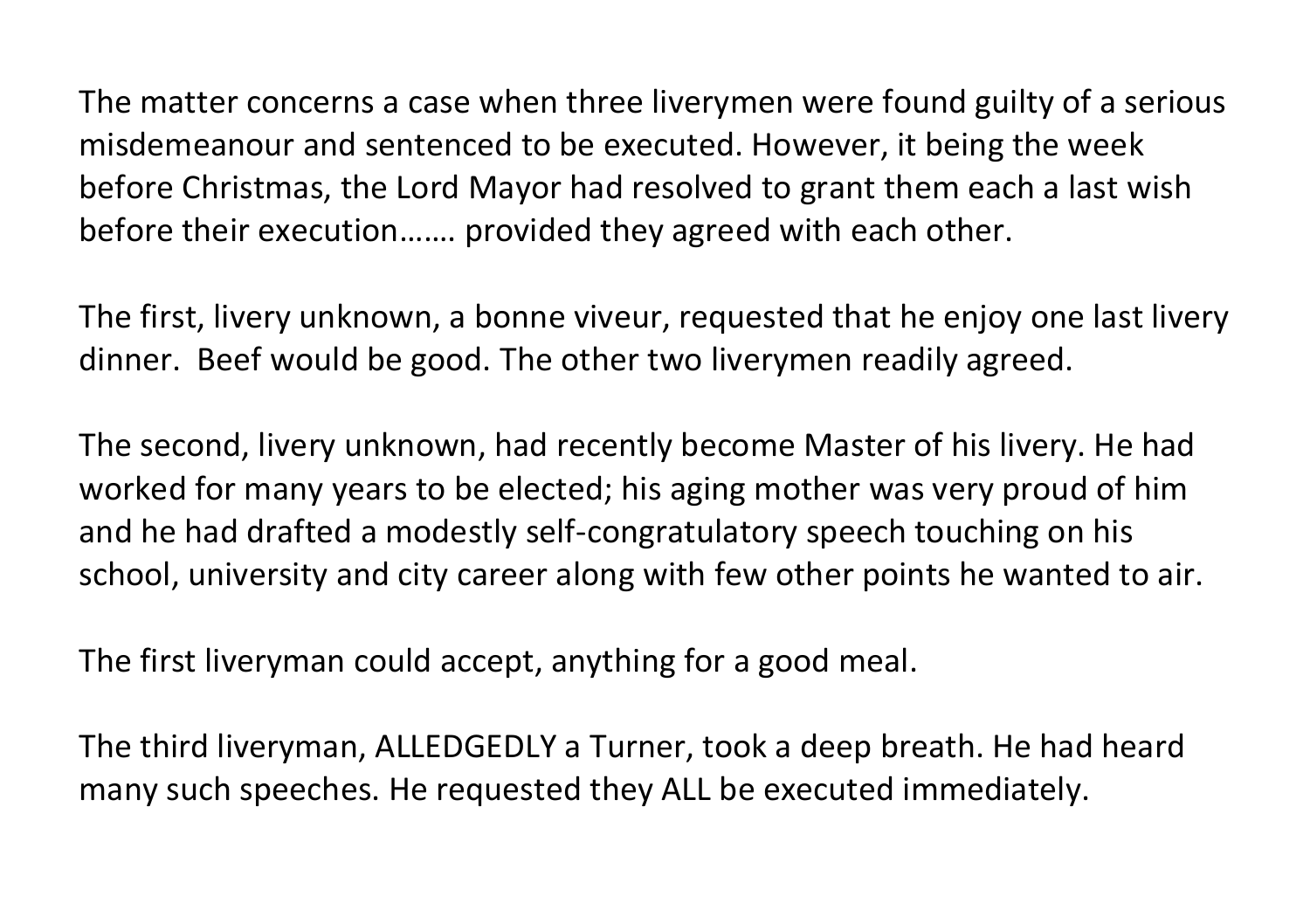The matter concerns a case when three liverymen were found guilty of a serious misdemeanour and sentenced to be executed. However, it being the week before Christmas, the Lord Mayor had resolved to grant them each a last wish before their execution……. provided they agreed with each other.

The first, livery unknown, a bonne viveur, requested that he enjoy one last livery dinner. Beef would be good. The other two liverymen readily agreed.

The second, livery unknown, had recently become Master of his livery. He had worked for many years to be elected; his aging mother was very proud of him and he had drafted a modestly self-congratulatory speech touching on his school, university and city career along with few other points he wanted to air.

The first liveryman could accept, anything for a good meal.

The third liveryman, ALLEDGEDLY a Turner, took a deep breath. He had heard many such speeches. He requested they ALL be executed immediately.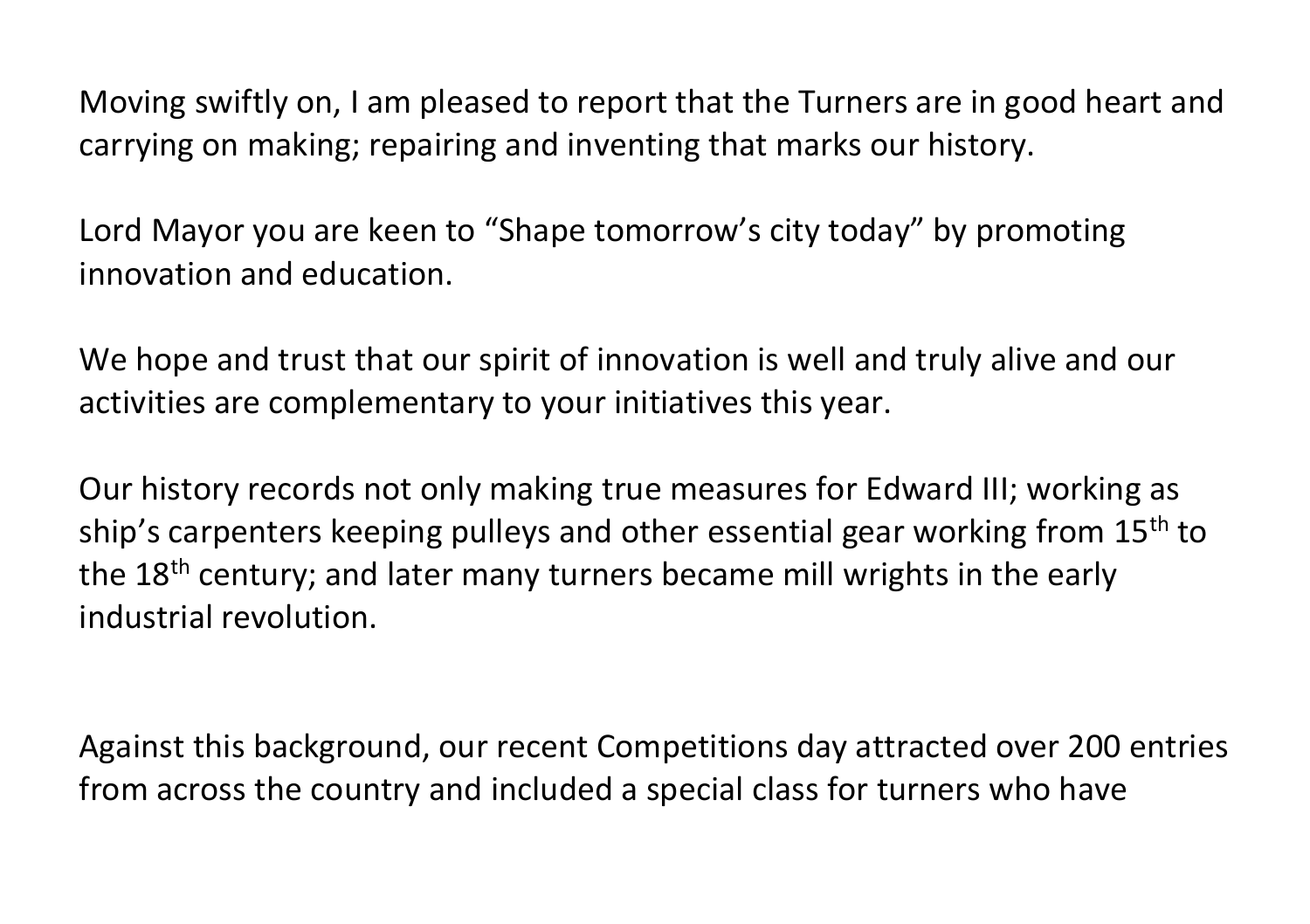Moving swiftly on, I am pleased to report that the Turners are in good heart and carrying on making; repairing and inventing that marks our history.

Lord Mayor you are keen to "Shape tomorrow's city today" by promoting innovation and education.

We hope and trust that our spirit of innovation is well and truly alive and our activities are complementary to your initiatives this year.

Our history records not only making true measures for Edward III; working as ship's carpenters keeping pulleys and other essential gear working from 15<sup>th</sup> to the 18<sup>th</sup> century; and later many turners became mill wrights in the early industrial revolution.

Against this background, our recent Competitions day attracted over 200 entries from across the country and included a special class for turners who have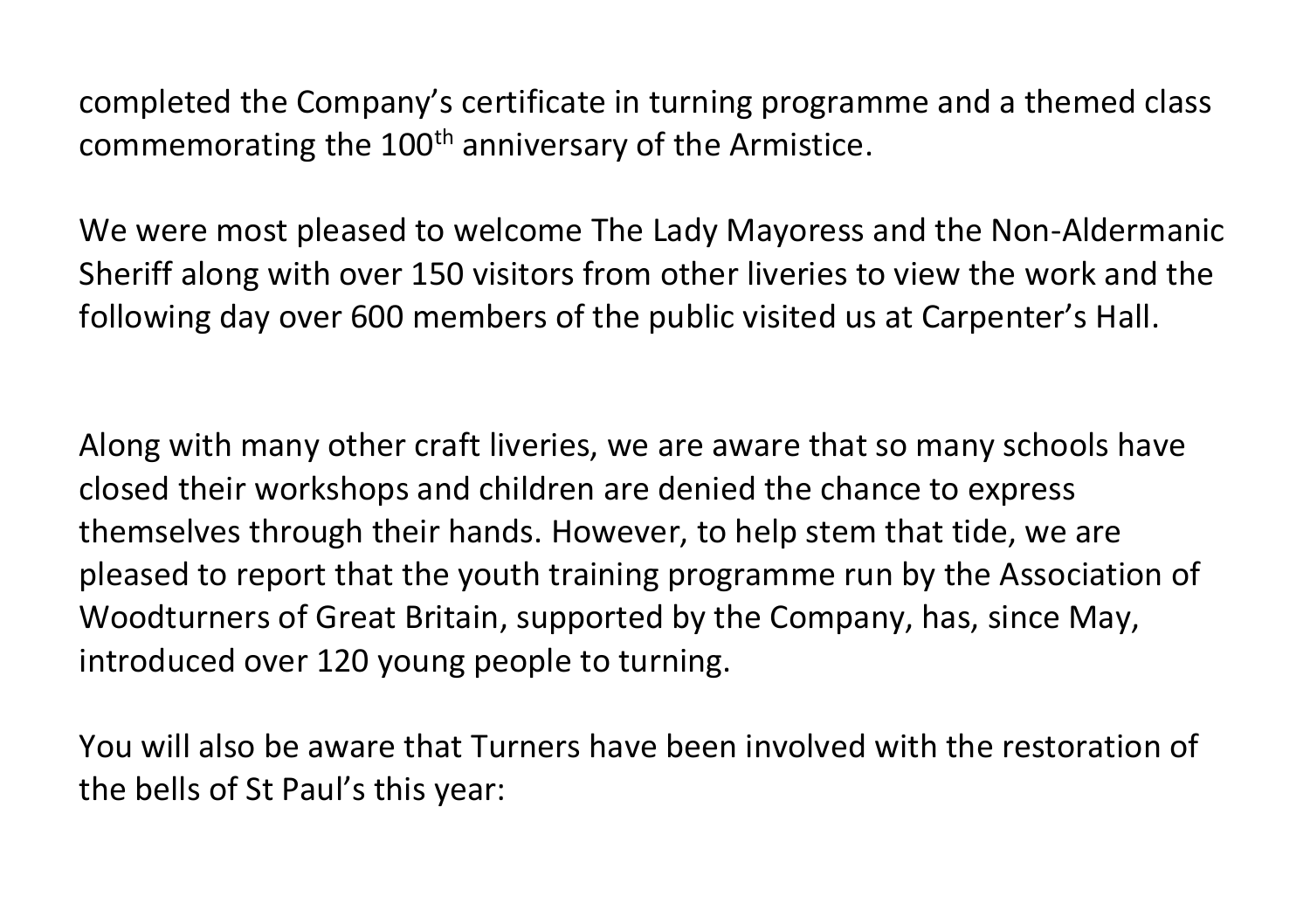completed the Company's certificate in turning programme and a themed class commemorating the  $100<sup>th</sup>$  anniversary of the Armistice.

We were most pleased to welcome The Lady Mayoress and the Non-Aldermanic Sheriff along with over 150 visitors from other liveries to view the work and the following day over 600 members of the public visited us at Carpenter's Hall.

Along with many other craft liveries, we are aware that so many schools have closed their workshops and children are denied the chance to express themselves through their hands. However, to help stem that tide, we are pleased to report that the youth training programme run by the Association of Woodturners of Great Britain, supported by the Company, has, since May, introduced over 120 young people to turning.

You will also be aware that Turners have been involved with the restoration of the bells of St Paul's this year: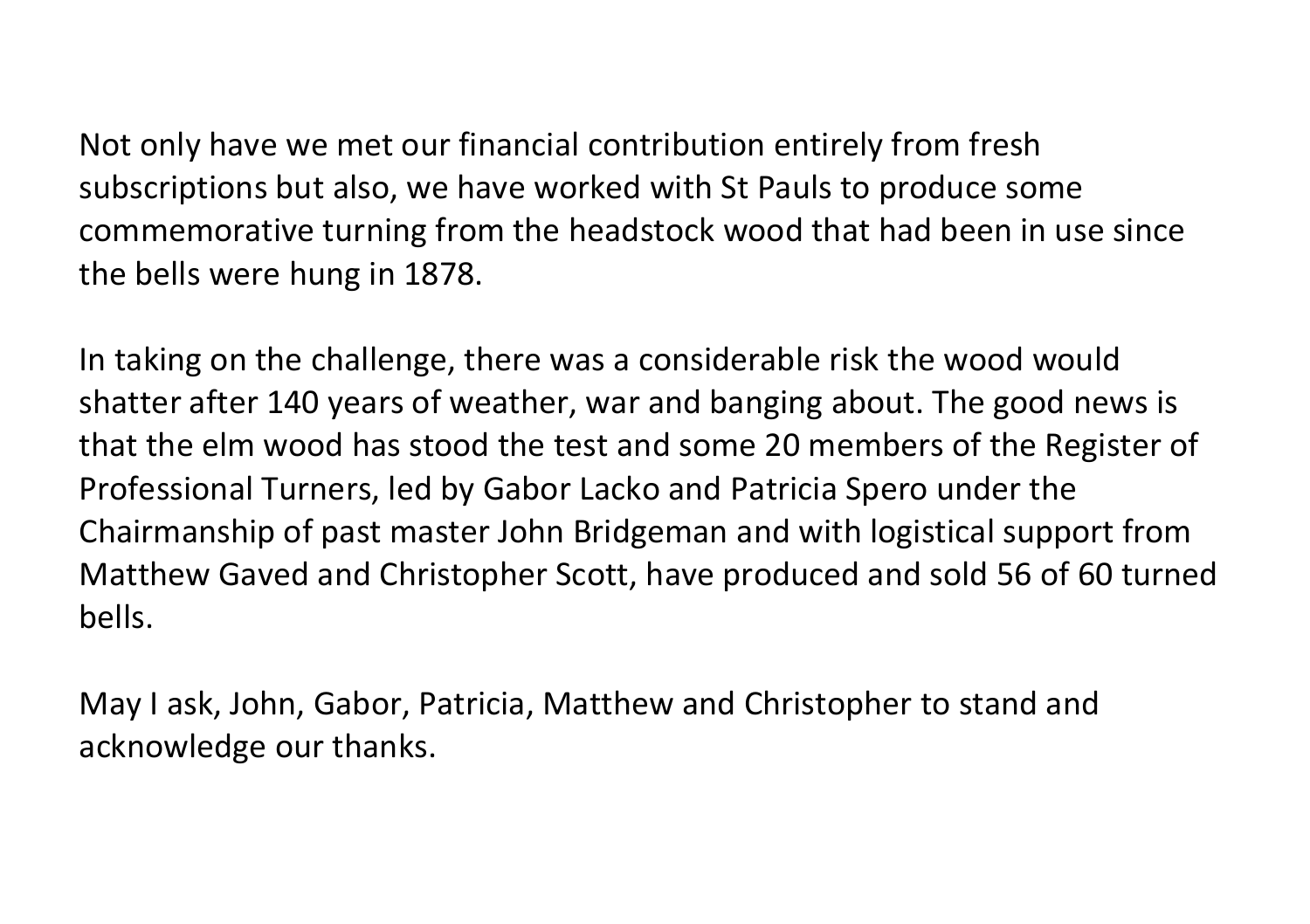Not only have we met our financial contribution entirely from fresh subscriptions but also, we have worked with St Pauls to produce some commemorative turning from the headstock wood that had been in use since the bells were hung in 1878.

In taking on the challenge, there was a considerable risk the wood would shatter after 140 years of weather, war and banging about. The good news is that the elm wood has stood the test and some 20 members of the Register of Professional Turners, led by Gabor Lacko and Patricia Spero under the Chairmanship of past master John Bridgeman and with logistical support from Matthew Gaved and Christopher Scott, have produced and sold 56 of 60 turned bells.

May I ask, John, Gabor, Patricia, Matthew and Christopher to stand and acknowledge our thanks.